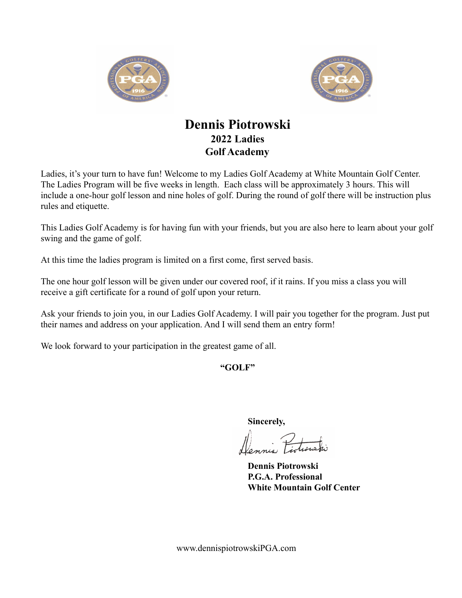



## **Dennis Piotrowski 2022 Ladies Golf Academy**

Ladies, it's your turn to have fun! Welcome to my Ladies Golf Academy at White Mountain Golf Center. The Ladies Program will be five weeks in length. Each class will be approximately 3 hours. This will include a one-hour golf lesson and nine holes of golf. During the round of golf there will be instruction plus rules and etiquette.

This Ladies Golf Academy is for having fun with your friends, but you are also here to learn about your golf swing and the game of golf.

At this time the ladies program is limited on a first come, first served basis.

The one hour golf lesson will be given under our covered roof, if it rains. If you miss a class you will receive a gift certificate for a round of golf upon your return.

Ask your friends to join you, in our Ladies Golf Academy. I will pair you together for the program. Just put their names and address on your application. And I will send them an entry form!

We look forward to your participation in the greatest game of all.

**"GOLF"**

**Sincerely,**

**Dennis Piotrowski P.G.A. Professional White Mountain Golf Center**

www.dennispiotrowskiPGA.com